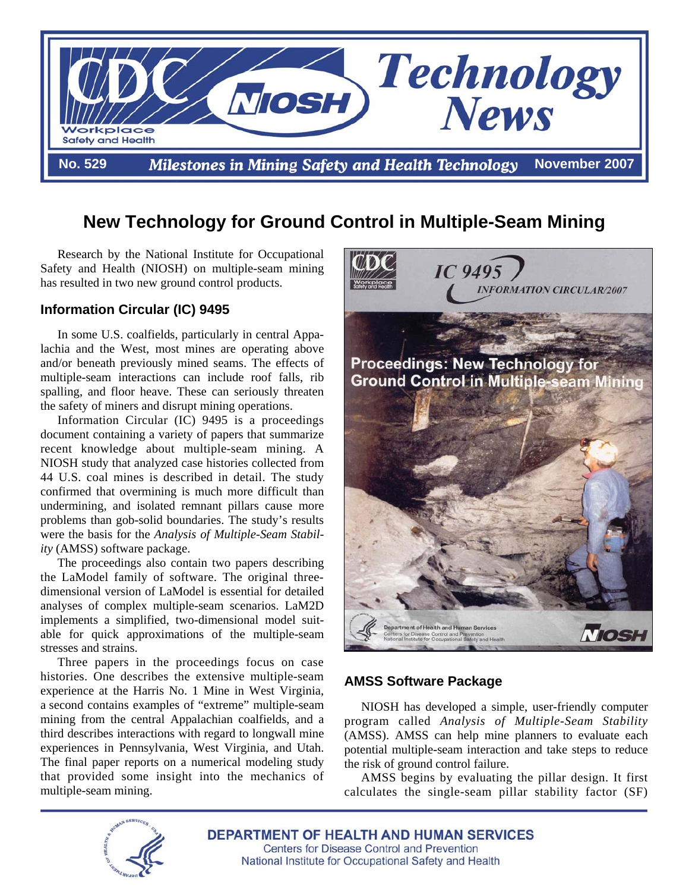

# **New Technology for Ground Control in Multiple-Seam Mining**

Research by the National Institute for Occupational Safety and Health (NIOSH) on multiple-seam mining has resulted in two new ground control products.

## **Information Circular (IC) 9495**

In some U.S. coalfields, particularly in central Appalachia and the West, most mines are operating above and/or beneath previously mined seams. The effects of multiple-seam interactions can include roof falls, rib spalling, and floor heave. These can seriously threaten the safety of miners and disrupt mining operations.

 Information Circular (IC) 9495 is a proceedings document containing a variety of papers that summarize recent knowledge about multiple-seam mining. A NIOSH study that analyzed case histories collected from 44 U.S. coal mines is described in detail. The study confirmed that overmining is much more difficult than undermining, and isolated remnant pillars cause more problems than gob-solid boundaries. The study's results were the basis for the *Analysis of Multiple-Seam Stability* (AMSS) software package.

The proceedings also contain two papers describing the LaModel family of software. The original threedimensional version of LaModel is essential for detailed analyses of complex multiple-seam scenarios. LaM2D implements a simplified, two-dimensional model suitable for quick approximations of the multiple-seam stresses and strains.

Three papers in the proceedings focus on case histories. One describes the extensive multiple-seam experience at the Harris No. 1 Mine in West Virginia, a second contains examples of "extreme" multiple-seam mining from the central Appalachian coalfields, and a third describes interactions with regard to longwall mine experiences in Pennsylvania, West Virginia, and Utah. The final paper reports on a numerical modeling study that provided some insight into the mechanics of multiple-seam mining.



## **AMSS Software Package**

NIOSH has developed a simple, user-friendly computer program called *Analysis of Multiple-Seam Stability*  (AMSS). AMSS can help mine planners to evaluate each potential multiple-seam interaction and take steps to reduce the risk of ground control failure.

AMSS begins by evaluating the pillar design. It first calculates the single-seam pillar stability factor (SF)